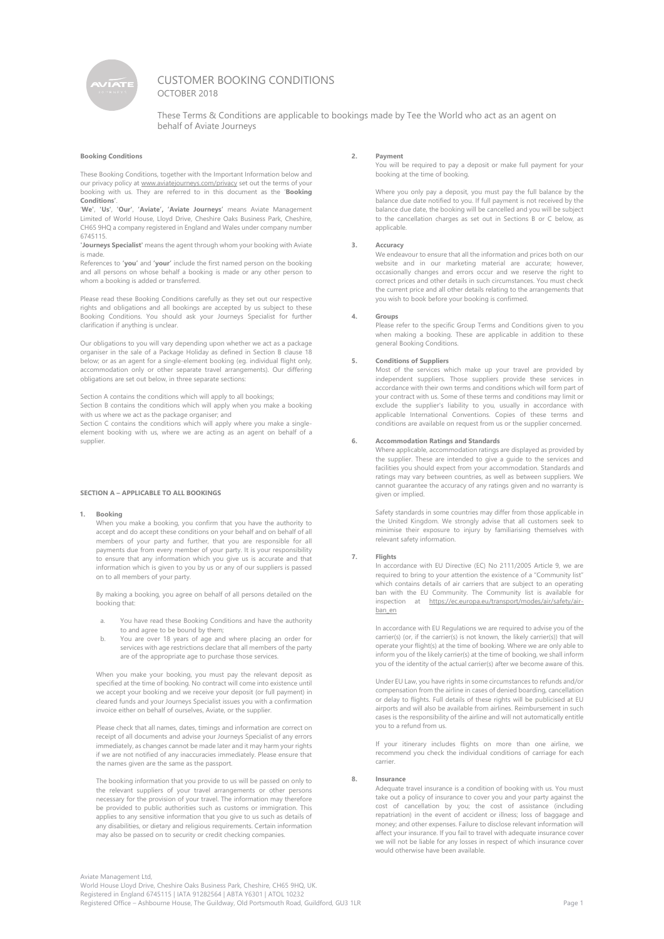

# CUSTOMER BOOKING CONDITIONS OCTOBER 2018

These Terms & Conditions are applicable to bookings made by Tee the World who act as an agent on behalf of Aviate Journeys

# **Booking Conditions**

These Booking Conditions, together with the Important Information below and our privacy policy a[t www.aviatejourneys.com/privacy](http://www.aviatejourneys.com/privacy) set out the terms of your booking with us. They are referred to in this document as the '**Booking Conditions'**.

'**We'**, **'Us'**, **'Our'**, **'Aviate', 'Aviate Journeys'** means Aviate Management Limited of World House, Lloyd Drive, Cheshire Oaks Business Park, Cheshire, CH65 9HQ a company registered in England and Wales under company number 6745115.

**'Journeys Specialist'** means the agent through whom your booking with Aviate is made.

References to **'you'** and **'your'** include the first named person on the booking and all persons on whose behalf a booking is made or any other person to whom a booking is added or transferred.

Please read these Booking Conditions carefully as they set out our respective rights and obligations and all bookings are accepted by us subject to these Booking Conditions. You should ask your Journeys Specialist for further clarification if anything is unclear.

Our obligations to you will vary depending upon whether we act as a package organiser in the sale of a Package Holiday as defined in Section B clause 18 below; or as an agent for a single-element booking (eg. individual flight only, accommodation only or other separate travel arrangements). Our differing obligations are set out below, in three separate sections:

Section A contains the conditions which will apply to all bookings;

Section B contains the conditions which will apply when you make a booking with us where we act as the package organiser; and<br>Section C contains the conditions which will apply where you make a single-

element booking with us, where we are acting as an agent on behalf of a supplier.

### **SECTION A – APPLICABLE TO ALL BOOKINGS**

#### **1. Booking**

When you make a booking, you confirm that you have the authority to accept and do accept these conditions on your behalf and on behalf of all members of your party and further, that you are responsible for all payments due from every member of your party. It is your responsibility to ensure that any information which you give us is accurate and that information which is given to you by us or any of our suppliers is passed on to all members of your party.

By making a booking, you agree on behalf of all persons detailed on the booking that:

- a. You have read these Booking Conditions and have the authority to and agree to be bound by them;
- b. You are over 18 years of age and where placing an order for services with age restrictions declare that all members of the party are of the appropriate age to purchase those services.

When you make your booking, you must pay the relevant deposit as specified at the time of booking. No contract will come into existence until we accept your booking and we receive your deposit (or full payment) in cleared funds and your Journeys Specialist issues you with a confirmation invoice either on behalf of ourselves, Aviate, or the supplier.

Please check that all names, dates, timings and information are correct on receipt of all documents and advise your Journeys Specialist of any errors immediately, as changes cannot be made later and it may harm your rights if we are not notified of any inaccuracies immediately. Please ensure that the names given are the same as the passport.

The booking information that you provide to us will be passed on only to the relevant suppliers of your travel arrangements or other persons necessary for the provision of your travel. The information may therefore be provided to public authorities such as customs or immigration. This applies to any sensitive information that you give to us such as details of any disabilities, or dietary and religious requirements. Certain information may also be passed on to security or credit checking companies.

### **2. Payment**

You will be required to pay a deposit or make full payment for your booking at the time of booking.

Where you only pay a deposit, you must pay the full balance by the balance due date notified to you. If full payment is not received by the balance due date, the booking will be cancelled and you will be subject to the cancellation charges as set out in Sections B or C below, as applicable.

#### **3. Accuracy**

We endeavour to ensure that all the information and prices both on our website and in our marketing material are accurate; however, occasionally changes and errors occur and we reserve the right to correct prices and other details in such circumstances. You must check the current price and all other details relating to the arrangements that you wish to book before your booking is confirmed.

#### **4. Groups**

Please refer to the specific Group Terms and Conditions given to you when making a booking. These are applicable in addition to these general Booking Conditions.

## **5. Conditions of Suppliers**

Most of the services which make up your travel are provided by independent suppliers. Those suppliers provide these services in accordance with their own terms and conditions which will form part of your contract with us. Some of these terms and conditions may limit or exclude the supplier's liability to you, usually in accordance with applicable International Conventions. Copies of these terms and conditions are available on request from us or the supplier concerned.

#### **6. Accommodation Ratings and Standards**

Where applicable, accommodation ratings are displayed as provided by the supplier. These are intended to give a guide to the services and facilities you should expect from your accommodation. Standards and ratings may vary between countries, as well as between suppliers. We cannot guarantee the accuracy of any ratings given and no warranty is given or implied.

Safety standards in some countries may differ from those applicable in the United Kingdom. We strongly advise that all customers seek to minimise their exposure to injury by familiarising themselves with relevant safety information.

### **7. Flights**

In accordance with EU Directive (EC) No 2111/2005 Article 9, we are required to bring to your attention the existence of a "Community list" which contains details of air carriers that are subject to an operating ban with the EU Community. The Community list is available for inspection at [https://ec.europa.eu/transport/modes/air/safety/air](https://ec.europa.eu/transport/modes/air/safety/air-ban_en)[ban\\_en](https://ec.europa.eu/transport/modes/air/safety/air-ban_en)

In accordance with EU Regulations we are required to advise you of the carrier(s) (or, if the carrier(s) is not known, the likely carrier(s)) that will operate your flight(s) at the time of booking. Where we are only able to inform you of the likely carrier(s) at the time of booking, we shall inform you of the identity of the actual carrier(s) after we become aware of this.

Under EU Law, you have rights in some circumstances to refunds and/or compensation from the airline in cases of denied boarding, cancellation or delay to flights. Full details of these rights will be publicised at EU airports and will also be available from airlines. Reimbursement in such cases is the responsibility of the airline and will not automatically entitle you to a refund from us.

If your itinerary includes flights on more than one airline, we recommend you check the individual conditions of carriage for each carrier.

#### **8. Insurance**

Adequate travel insurance is a condition of booking with us. You must take out a policy of insurance to cover you and your party against the cost of cancellation by you; the cost of assistance (including repatriation) in the event of accident or illness; loss of baggage and money; and other expenses. Failure to disclose relevant information will affect your insurance. If you fail to travel with adequate insurance cover we will not be liable for any losses in respect of which insurance cover would otherwise have been available.

Aviate Management Ltd,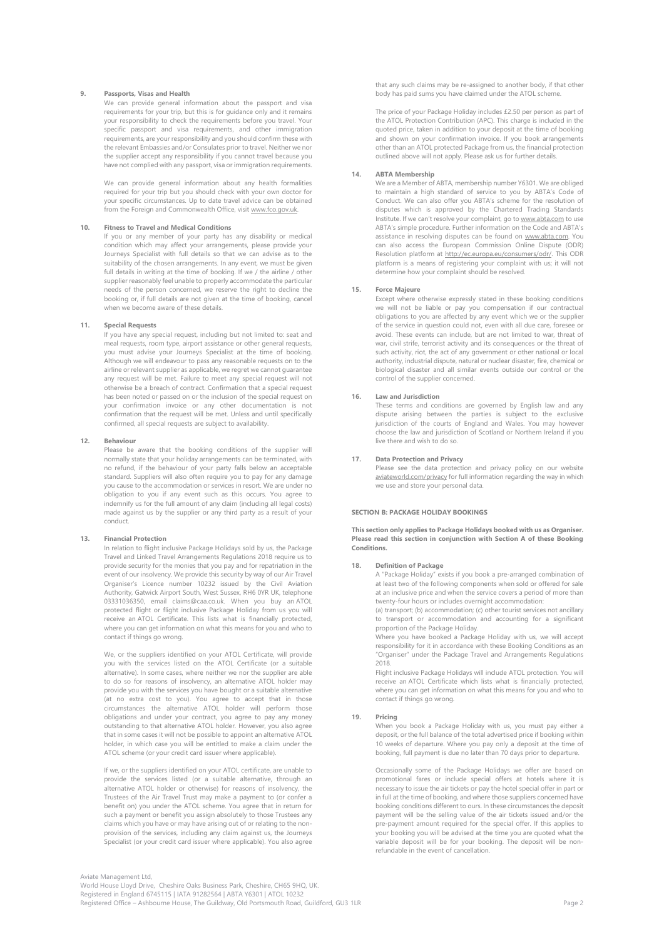### **9. Passports, Visas and Health**

We can provide general information about the passport and visa requirements for your trip, but this is for guidance only and it remains your responsibility to check the requirements before you travel. Your specific passport and visa requirements, and other immigration requirements, are your responsibility and you should confirm these with the relevant Embassies and/or Consulates prior to travel. Neither we nor the supplier accept any responsibility if you cannot travel because you have not complied with any passport, visa or immigration requirements.

We can provide general information about any health formalities required for your trip but you should check with your own doctor for your specific circumstances. Up to date travel advice can be obtained from the Foreign and Commonwealth Office, visi[t www.fco.gov.uk.](http://www.fco.gov.uk/) 

### **10. Fitness to Travel and Medical Conditions**

If you or any member of your party has any disability or medical condition which may affect your arrangements, please provide your Journeys Specialist with full details so that we can advise as to the suitability of the chosen arrangements. In any event, we must be given full details in writing at the time of booking. If we / the airline / other supplier reasonably feel unable to properly accommodate the particular needs of the person concerned, we reserve the right to decline the booking or, if full details are not given at the time of booking, cancel when we become aware of these details.

## **11. Special Requests**

If you have any special request, including but not limited to: seat and meal requests, room type, airport assistance or other general requests, you must advise your Journeys Specialist at the time of booking. Although we will endeavour to pass any reasonable requests on to the airline or relevant supplier as applicable, we regret we cannot guarantee any request will be met. Failure to meet any special request will not otherwise be a breach of contract. Confirmation that a special request has been noted or passed on or the inclusion of the special request on your confirmation invoice or any other documentation is not confirmation that the request will be met. Unless and until specifically confirmed, all special requests are subject to availability.

## **12. Behaviour**

Please be aware that the booking conditions of the supplier will normally state that your holiday arrangements can be terminated, with no refund, if the behaviour of your party falls below an acceptable standard. Suppliers will also often require you to pay for any damage you cause to the accommodation or services in resort. We are under no obligation to you if any event such as this occurs. You agree to indemnify us for the full amount of any claim (including all legal costs) made against us by the supplier or any third party as a result of your conduct.

#### **13. Financial Protection**

In relation to flight inclusive Package Holidays sold by us, the Package Travel and Linked Travel Arrangements Regulations 2018 require us to provide security for the monies that you pay and for repatriation in the event of our insolvency. We provide this security by way of our Air Travel Organiser's Licence number 10232 issued by the Civil Aviation Authority, Gatwick Airport South, West Sussex, RH6 0YR UK, telephone 03331036350, email claims@caa.co.uk. When you buy an ATOL protected flight or flight inclusive Package Holiday from us you will receive an ATOL Certificate. This lists what is financially protected, where you can get information on what this means for you and who to contact if things go wrong.

We, or the suppliers identified on your ATOL Certificate, will provide you with the services listed on the ATOL Certificate (or a suitable alternative). In some cases, where neither we nor the supplier are able to do so for reasons of insolvency, an alternative ATOL holder may provide you with the services you have bought or a suitable alternative (at no extra cost to you). You agree to accept that in those circumstances the alternative ATOL holder will perform those obligations and under your contract, you agree to pay any money outstanding to that alternative ATOL holder. However, you also agree that in some cases it will not be possible to appoint an alternative ATOL holder, in which case you will be entitled to make a claim under the ATOL scheme (or your credit card issuer where applicable).

If we, or the suppliers identified on your ATOL certificate, are unable to provide the services listed (or a suitable alternative, through an alternative ATOL holder or otherwise) for reasons of insolvency, the Trustees of the Air Travel Trust may make a payment to (or confer a benefit on) you under the ATOL scheme. You agree that in return for such a payment or benefit you assign absolutely to those Trustees any claims which you have or may have arising out of or relating to the nonprovision of the services, including any claim against us, the Journeys Specialist (or your credit card issuer where applicable). You also agree that any such claims may be re-assigned to another body, if that other body has paid sums you have claimed under the ATOL scheme.

The price of your Package Holiday includes £2.50 per person as part of the ATOL Protection Contribution (APC). This charge is included in the quoted price, taken in addition to your deposit at the time of booking and shown on your confirmation invoice. If you book arrangements other than an ATOL protected Package from us, the financial protection outlined above will not apply. Please ask us for further details.

#### **14. ABTA Membership**

We are a Member of ABTA, membership number Y6301. We are obliged to maintain a high standard of service to you by ABTA's Code of Conduct. We can also offer you ABTA's scheme for the resolution of disputes which is approved by the Chartered Trading Standards Institute. If we can't resolve your complaint, go to [www.abta.com](http://www.abta.com/) to use ABTA's simple procedure. Further information on the Code and ABTA's assistance in resolving disputes can be found on [www.abta.com.](http://www.abta.com/) You can also access the European Commission Online Dispute (ODR) Resolution platform at [http://ec.europa.eu/consumers/odr/.](http://ec.europa.eu/consumers/odr/) This ODR platform is a means of registering your complaint with us; it will not determine how your complaint should be resolved.

## **15. Force Majeure**

Except where otherwise expressly stated in these booking conditions we will not be liable or pay you compensation if our contractual obligations to you are affected by any event which we or the supplier of the service in question could not, even with all due care, foresee or avoid. These events can include, but are not limited to war, threat of war, civil strife, terrorist activity and its consequences or the threat of such activity, riot, the act of any government or other national or local authority, industrial dispute, natural or nuclear disaster, fire, chemical or biological disaster and all similar events outside our control or the control of the supplier concerned.

## **16. Law and Jurisdiction**

These terms and conditions are governed by English law and any dispute arising between the parties is subject to the exclusive jurisdiction of the courts of England and Wales. You may however choose the law and jurisdiction of Scotland or Northern Ireland if you live there and wish to do so.

# **17. Data Protection and Privacy**

Please see the data protection and privacy policy on our website [aviateworld.com/privacy](https://aviateworld.com/privacy/) for full information regarding the way in which we use and store your personal data.

# **SECTION B: PACKAGE HOLIDAY BOOKINGS**

**This section only applies to Package Holidays booked with us as Organiser. Please read this section in conjunction with Section A of these Booking Conditions.** 

# **18. Definition of Package**

A "Package Holiday" exists if you book a pre-arranged combination of at least two of the following components when sold or offered for sale at an inclusive price and when the service covers a period of more than twenty-four hours or includes overnight accommodation:

(a) transport; (b) accommodation; (c) other tourist services not ancillary to transport or accommodation and accounting for a significant proportion of the Package Holiday.

Where you have booked a Package Holiday with us, we will accept responsibility for it in accordance with these Booking Conditions as an "Organiser" under the Package Travel and Arrangements Regulations 2018.

Flight inclusive Package Holidays will include ATOL protection. You will receive an ATOL Certificate which lists what is financially protected, where you can get information on what this means for you and who to contact if things go wrong.

#### **19. Pricing**

When you book a Package Holiday with us, you must pay either a deposit, or the full balance of the total advertised price if booking within 10 weeks of departure. Where you pay only a deposit at the time of booking, full payment is due no later than 70 days prior to departure.

Occasionally some of the Package Holidays we offer are based on promotional fares or include special offers at hotels where it is necessary to issue the air tickets or pay the hotel special offer in part or in full at the time of booking, and where those suppliers concerned have booking conditions different to ours. In these circumstances the deposit payment will be the selling value of the air tickets issued and/or the pre-payment amount required for the special offer. If this applies to your booking you will be advised at the time you are quoted what the variable deposit will be for your booking. The deposit will be nonrefundable in the event of cancellation.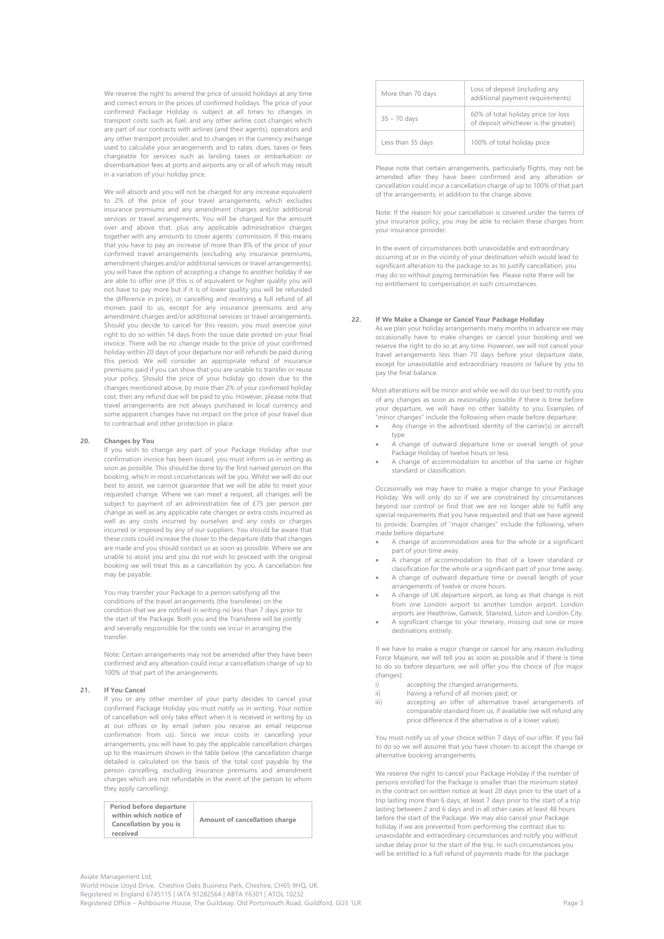We reserve the right to amend the price of unsold holidays at any time and correct errors in the prices of confirmed holidays. The price of your confirmed Package Holiday is subject at all times to changes in transport costs such as fuel, and any other airline cost changes which are part of our contracts with airlines (and their agents), operators and any other transport provider; and to changes in the currency exchange used to calculate your arrangements and to rates, dues, taxes or fees chargeable for services such as landing taxes or embarkation or disembarkation fees at ports and airports any or all of which may result in a variation of your holiday price.

We will absorb and you will not be charged for any increase equivalent to 2% of the price of your travel arrangements, which excludes insurance premiums and any amendment charges and/or additional services or travel arrangements. You will be charged for the amount over and above that, plus any applicable administration charges together with any amounts to cover agents' commission. If this means that you have to pay an increase of more than 8% of the price of your confirmed travel arrangements (excluding any insurance premiums, amendment charges and/or additional services or travel arrangements), you will have the option of accepting a change to another holiday if we are able to offer one (if this is of equivalent or higher quality you will not have to pay more but if it is of lower quality you will be refunded the difference in price), or cancelling and receiving a full refund of all monies paid to us, except for any insurance premiums and any amendment charges and/or additional services or travel arrangements. Should you decide to cancel for this reason, you must exercise your right to do so within 14 days from the issue date printed on your final invoice. There will be no change made to the price of your confirmed holiday within 20 days of your departure nor will refunds be paid during this period. We will consider an appropriate refund of insurance premiums paid if you can show that you are unable to transfer or reuse your policy. Should the price of your holiday go down due to the changes mentioned above, by more than 2% of your confirmed holiday cost, then any refund due will be paid to you. However, please note that travel arrangements are not always purchased in local currency and some apparent changes have no impact on the price of your travel due to contractual and other protection in place.

#### **20. Changes by You**

If you wish to change any part of your Package Holiday after our confirmation invoice has been issued, you must inform us in writing as soon as possible. This should be done by the first named person on the booking, which in most circumstances will be you. Whilst we will do our best to assist, we cannot guarantee that we will be able to meet your requested change. Where we can meet a request, all changes will be subject to payment of an administration fee of £75 per person per change as well as any applicable rate changes or extra costs incurred as well as any costs incurred by ourselves and any costs or charges incurred or imposed by any of our suppliers. You should be aware that these costs could increase the closer to the departure date that changes are made and you should contact us as soon as possible. Where we are unable to assist you and you do not wish to proceed with the original booking we will treat this as a cancellation by you. A cancellation fee may be payable.

You may transfer your Package to a person satisfying all the conditions of the travel arrangements (the transferee) on the condition that we are notified in writing no less than 7 days prior to the start of the Package. Both you and the Transferee will be jointly and severally responsible for the costs we incur in arranging the transfer.

Note: Certain arrangements may not be amended after they have been confirmed and any alteration could incur a cancellation charge of up to 100% of that part of the arrangements.

#### **21. If You Cancel**

If you or any other member of your party decides to cancel your confirmed Package Holiday you must notify us in writing. Your notice of cancellation will only take effect when it is received in writing by us at our offices or by email (when you receive an email response confirmation from us). Since we incur costs in cancelling your arrangements, you will have to pay the applicable cancellation charges up to the maximum shown in the table below (the cancellation charge detailed is calculated on the basis of the total cost payable by the person cancelling, excluding insurance premiums and amendment charges which are not refundable in the event of the person to whom they apply cancelling).

| within which notice of<br>Cancellation by you is<br>received | Amount of cancellation charge |
|--------------------------------------------------------------|-------------------------------|
|--------------------------------------------------------------|-------------------------------|

| More than 70 days | Loss of deposit (including any<br>additional payment requirements)           |
|-------------------|------------------------------------------------------------------------------|
| $35 - 70$ days    | 60% of total holiday price (or loss<br>of deposit whichever is the greater). |
| Less than 35 days | 100% of total holiday price                                                  |

Please note that certain arrangements, particularly flights, may not be amended after they have been confirmed and any alteration or cancellation could incur a cancellation charge of up to 100% of that part of the arrangements, in addition to the charge above.

Note: If the reason for your cancellation is covered under the terms of your insurance policy, you may be able to reclaim these charges from .<br>vour insurance provider

In the event of circumstances both unavoidable and extraordinary occurring at or in the vicinity of your destination which would lead to significant alteration to the package so as to justify cancellation, you may do so without paying termination fee. Please note there will be no entitlement to compensation in such circumstances.

#### **22. If We Make a Change or Cancel Your Package Holiday**

As we plan your holiday arrangements many months in advance we may occasionally have to make changes or cancel your booking and we reserve the right to do so at any time. However, we will not cancel your travel arrangements less than 70 days before your departure date, except for unavoidable and extraordinary reasons or failure by you to pay the final balance.

Most alterations will be minor and while we will do our best to notify you of any changes as soon as reasonably possible if there is time before your departure, we will have no other liability to you. Examples of "minor changes" include the following when made before departure:

- Any change in the advertised identity of the carrier(s) or aircraft type
- A change of outward departure time or overall length of your Package Holiday of twelve hours or less.
- A change of accommodation to another of the same or higher standard or classification.

Occasionally we may have to make a major change to your Package Holiday. We will only do so if we are constrained by circumstances beyond our control or find that we are no longer able to fulfil any special requirements that you have requested and that we have agreed to provide. Examples of "major changes" include the following, when made before departure:

- A change of accommodation area for the whole or a significant part of your time away.
- A change of accommodation to that of a lower standard or classification for the whole or a significant part of your time away.
- A change of outward departure time or overall length of your arrangements of twelve or more hours.
- A change of UK departure airport, as long as that change is not from one London airport to another London airport. London airports are Heathrow, Gatwick, Stansted, Luton and London City.
- A significant change to your itinerary, missing out one or more destinations entirely.

If we have to make a major change or cancel for any reason including Force Majeure, we will tell you as soon as possible and if there is time to do so before departure, we will offer you the choice of (for major changes)

- i) accepting the changed arrangements
- ii) having a refund of all monies paid; or
- iii) accepting an offer of alternative travel arrangements of comparable standard from us, if available (we will refund any price difference if the alternative is of a lower value).

You must notify us of your choice within 7 days of our offer. If you fail to do so we will assume that you have chosen to accept the change or alternative booking arrangements.

We reserve the right to cancel your Package Holiday if the number of persons enrolled for the Package is smaller than the minimum stated in the contract on written notice at least 20 days prior to the start of a trip lasting more than 6 days, at least 7 days prior to the start of a trip lasting between 2 and 6 days and in all other cases at least 48 hours before the start of the Package. We may also cancel your Package holiday if we are prevented from performing the contract due to unavoidable and extraordinary circumstances and notify you without undue delay prior to the start of the trip. In such circumstances you will be entitled to a full refund of payments made for the package

Aviate Management Ltd,

World House Lloyd Drive, Cheshire Oaks Business Park, Cheshire, CH65 9HQ, UK. Registered in England 6745115 | IATA 91282564 | ABTA Y6301 | ATOL 10232 Registered Office – Ashbourne House, The Guildway, Old Portsmouth Road, Guildford, GU3 1LR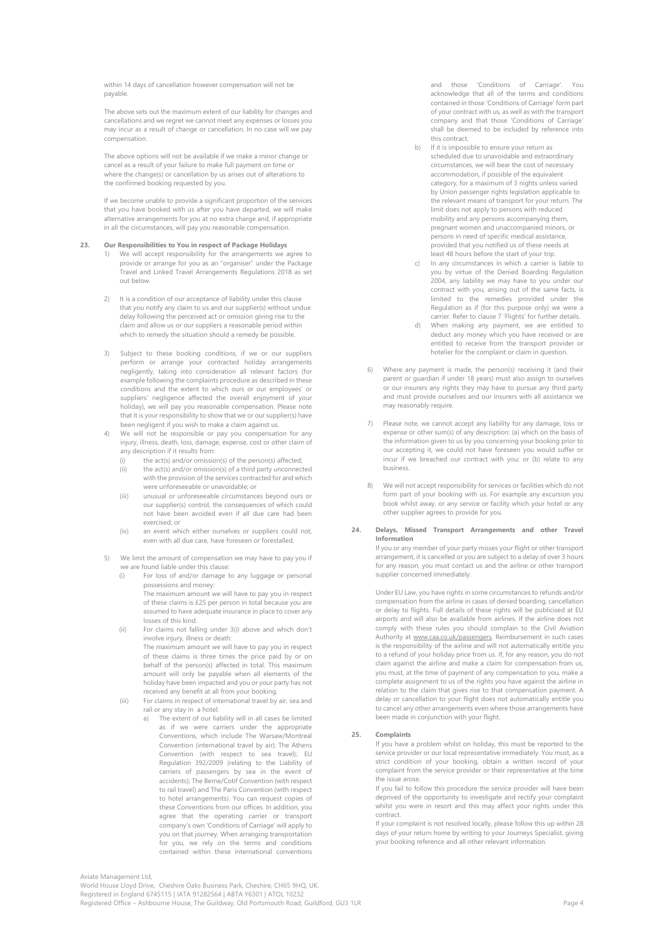within 14 days of cancellation however compensation will not be payable.

The above sets out the maximum extent of our liability for changes and cancellations and we regret we cannot meet any expenses or losses you may incur as a result of change or cancellation. In no case will we pay compensation.

The above options will not be available if we make a minor change or cancel as a result of your failure to make full payment on time or where the change(s) or cancellation by us arises out of alterations to the confirmed booking requested by you.

If we become unable to provide a significant proportion of the services that you have booked with us after you have departed, we will make alternative arrangements for you at no extra charge and, if appropriate in all the circumstances, will pay you reasonable compensation.

#### **23. Our Responsibilities to You in respect of Package Holidays**

- 1) We will accept responsibility for the arrangements we agree to provide or arrange for you as an "organiser" under the Package Travel and Linked Travel Arrangements Regulations 2018 as set out below.
- 2) It is a condition of our acceptance of liability under this clause that you notify any claim to us and our supplier(s) without undue delay following the perceived act or omission giving rise to the claim and allow us or our suppliers a reasonable period within which to remedy the situation should a remedy be possible.
- Subject to these booking conditions, if we or our suppliers perform or arrange your contracted holiday arrangements negligently, taking into consideration all relevant factors (for example following the complaints procedure as described in these conditions and the extent to which ours or our employees' or suppliers' negligence affected the overall enjoyment of your holiday), we will pay you reasonable compensation. Please note that it is your responsibility to show that we or our supplier(s) have been negligent if you wish to make a claim against us.
- 4) We will not be responsible or pay you compensation for any injury, illness, death, loss, damage, expense, cost or other claim of any description if it results from:<br>(i) the act(s) and/or omission
	- the act(s) and/or omission(s) of the person(s) affected;
	- (ii) the  $act(s)$  and/or omission(s) of a third party unconnected with the provision of the services contracted for and which were unforeseeable or unavoidable; or
	- (iii) unusual or unforeseeable circumstances beyond ours or our supplier(s) control, the consequences of which could not have been avoided even if all due care had been exercised; or
	- (iv) an event which either ourselves or suppliers could not, even with all due care, have foreseen or forestalled.
- 5) We limit the amount of compensation we may have to pay you if we are found liable under this clause:
	- (i) For loss of and/or damage to any luggage or personal possessions and money: The maximum amount we will have to pay you in respect of these claims is £25 per person in total because you are assumed to have adequate insurance in place to cover any
	- losses of this kind. (ii) For claims not falling under 3(i) above and which don't involve injury, illness or death:
		- The maximum amount we will have to pay you in respect of these claims is three times the price paid by or on behalf of the person(s) affected in total. This maximum amount will only be payable when all elements of the holiday have been impacted and you or your party has not received any benefit at all from your booking.
	- (iii) For claims in respect of international travel by air, sea and rail or any stay in a hotel:
		- The extent of our liability will in all cases be limited as if we were carriers under the appropriate Conventions, which include The Warsaw/Montreal Convention (international travel by air); The Athens Convention (with respect to sea travel); EU Regulation 392/2009 (relating to the Liability of carriers of passengers by sea in the event of accidents); The Berne/Cotif Convention (with respect to rail travel) and The Paris Convention (with respect to hotel arrangements). You can request copies of these Conventions from our offices. In addition, you agree that the operating carrier or transport company's own 'Conditions of Carriage' will apply to you on that journey. When arranging transportation for you, we rely on the terms and conditions contained within these international conventions

and those 'Conditions of Carriage'. You acknowledge that all of the terms and conditions contained in those 'Conditions of Carriage' form part of your contract with us, as well as with the transport company and that those 'Conditions of Carriage' shall be deemed to be included by reference into this contract.

- If it is impossible to ensure your return as scheduled due to unavoidable and extraordinary circumstances, we will bear the cost of necessary accommodation, if possible of the equivalent category, for a maximum of 3 nights unless varied by Union passenger rights legislation applicable to the relevant means of transport for your return. The limit does not apply to persons with reduced mobility and any persons accompanying them pregnant women and unaccompanied minors, or persons in need of specific medical assistance, provided that you notified us of these needs at least 48 hours before the start of your trip.
- c) In any circumstances in which a carrier is liable to you by virtue of the Denied Boarding Regulation 2004, any liability we may have to you under our contract with you, arising out of the same facts, is limited to the remedies provided under the Regulation as if (for this purpose only) we were a carrier. Refer to clause 7 'Flights' for further details.
- d) When making any payment, we are entitled to deduct any money which you have received or are entitled to receive from the transport provider or hotelier for the complaint or claim in question.
- Where any payment is made, the person(s) receiving it (and their parent or guardian if under 18 years) must also assign to ourselves or our insurers any rights they may have to pursue any third party and must provide ourselves and our insurers with all assistance we may reasonably require
- Please note, we cannot accept any liability for any damage, loss or expense or other sum(s) of any description: (a) which on the basis of the information given to us by you concerning your booking prior to our accepting it, we could not have foreseen you would suffer or incur if we breached our contract with you; or (b) relate to any business.
- We will not accept responsibility for services or facilities which do not form part of your booking with us. For example any excursion you book whilst away, or any service or facility which your hotel or any other supplier agrees to provide for you.

#### **24. Delays, Missed Transport Arrangements and other Travel Information** If you or any member of your party misses your flight or other transport

arrangement, it is cancelled or you are subject to a delay of over 3 hours for any reason, you must contact us and the airline or other transport supplier concerned immediately.

Under EU Law, you have rights in some circumstances to refunds and/or compensation from the airline in cases of denied boarding, cancellation or delay to flights. Full details of these rights will be publicised at EU airports and will also be available from airlines. If the airline does not comply with these rules you should complain to the Civil Aviation Authority a[t www.caa.co.uk/passengers.](http://www.caa.co.uk/passengers) Reimbursement in such cases is the responsibility of the airline and will not automatically entitle you to a refund of your holiday price from us. If, for any reason, you do not claim against the airline and make a claim for compensation from us, you must, at the time of payment of any compensation to you, make a complete assignment to us of the rights you have against the airline in relation to the claim that gives rise to that compensation payment. A delay or cancellation to your flight does not automatically entitle you to cancel any other arrangements even where those arrangements have been made in conjunction with your flight.

#### **25. Complaints**

If you have a problem whilst on holiday, this must be reported to the service provider or our local representative immediately. You must, as a strict condition of your booking, obtain a written record of your complaint from the service provider or their representative at the time the issue arose.

If you fail to follow this procedure the service provider will have been deprived of the opportunity to investigate and rectify your complaint whilst you were in resort and this may affect your rights under this contract.

If your complaint is not resolved locally, please follow this up within 28 days of your return home by writing to your Journeys Specialist, giving your booking reference and all other relevant information.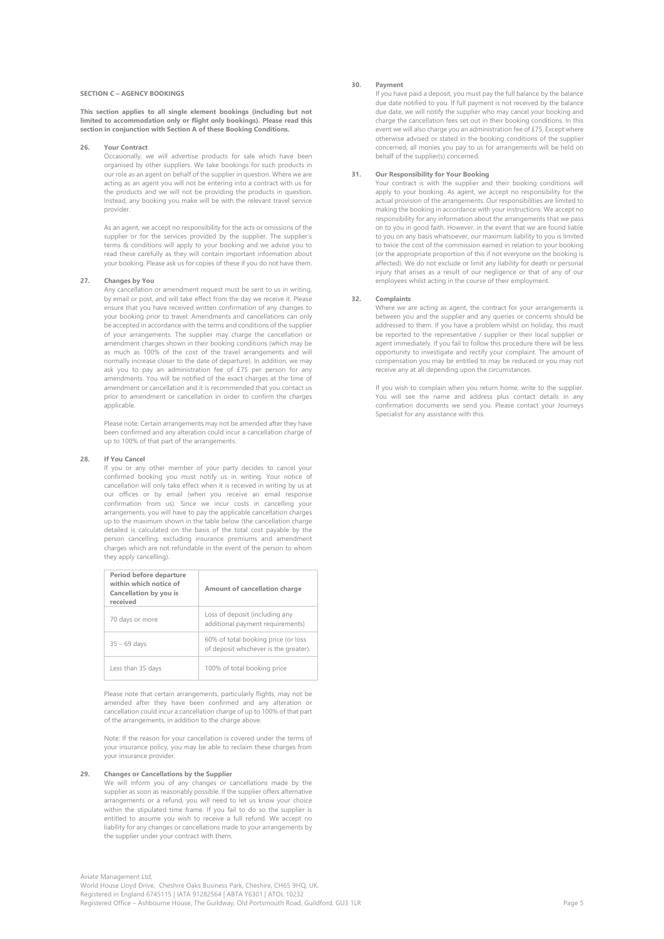## **SECTION C – AGENCY BOOKINGS**

**This section applies to all single element bookings (including but not limited to accommodation only or flight only bookings). Please read this section in conjunction with Section A of these Booking Conditions.** 

#### **26. Your Contract**

Occasionally, we will advertise products for sale which have been organised by other suppliers. We take bookings for such products in our role as an agent on behalf of the supplier in question. Where we are acting as an agent you will not be entering into a contract with us for the products and we will not be providing the products in question. Instead, any booking you make will be with the relevant travel service provider.

As an agent, we accept no responsibility for the acts or omissions of the supplier or for the services provided by the supplier. The supplier's terms & conditions will apply to your booking and we advise you to read these carefully as they will contain important information about your booking. Please ask us for copies of these if you do not have them.

## **27. Changes by You**

Any cancellation or amendment request must be sent to us in writing, by email or post, and will take effect from the day we receive it. Please ensure that you have received written confirmation of any changes to your booking prior to travel. Amendments and cancellations can only be accepted in accordance with the terms and conditions of the supplier of your arrangements. The supplier may charge the cancellation or amendment charges shown in their booking conditions (which may be as much as 100% of the cost of the travel arrangements and will normally increase closer to the date of departure). In addition, we may ask you to pay an administration fee of £75 per person for any amendments. You will be notified of the exact charges at the time of amendment or cancellation and it is recommended that you contact us prior to amendment or cancellation in order to confirm the charges applicable.

Please note: Certain arrangements may not be amended after they have been confirmed and any alteration could incur a cancellation charge of up to 100% of that part of the arrangements.

#### **28. If You Cancel**

If you or any other member of your party decides to cancel your confirmed booking you must notify us in writing. Your notice of cancellation will only take effect when it is received in writing by us at our offices or by email (when you receive an email response confirmation from us). Since we incur costs in cancelling your arrangements, you will have to pay the applicable cancellation charges up to the maximum shown in the table below (the cancellation charge detailed is calculated on the basis of the total cost payable by the person cancelling, excluding insurance premiums and amendment charges which are not refundable in the event of the person to whom they apply cancelling).

| Period before departure<br>within which notice of<br>Cancellation by you is<br>received | Amount of cancellation charge                                                |
|-----------------------------------------------------------------------------------------|------------------------------------------------------------------------------|
| 70 days or more                                                                         | Loss of deposit (including any<br>additional payment requirements)           |
| $35 - 69$ days                                                                          | 60% of total booking price (or loss<br>of deposit whichever is the greater). |
| Less than 35 days                                                                       | 100% of total booking price                                                  |

Please note that certain arrangements, particularly flights, may not be amended after they have been confirmed and any alteration or cancellation could incur a cancellation charge of up to 100% of that part of the arrangements, in addition to the charge above.

Note: If the reason for your cancellation is covered under the terms of your insurance policy, you may be able to reclaim these charges from your insurance provider.

# **29. Changes or Cancellations by the Supplier**

We will inform you of any changes or cancellations made by the supplier as soon as reasonably possible. If the supplier offers alternative arrangements or a refund, you will need to let us know your choice within the stipulated time frame. If you fail to do so the supplier is entitled to assume you wish to receive a full refund. We accept no liability for any changes or cancellations made to your arrangements by the supplier under your contract with them.

## **30. Payment**

If you have paid a deposit, you must pay the full balance by the balance due date notified to you. If full payment is not received by the balance due date, we will notify the supplier who may cancel your booking and charge the cancellation fees set out in their booking conditions. In this event we will also charge you an administration fee of £75. Except where otherwise advised or stated in the booking conditions of the supplier concerned, all monies you pay to us for arrangements will be held on behalf of the supplier(s) concerned.

#### **31. Our Responsibility for Your Booking**

Your contract is with the supplier and their booking conditions will apply to your booking. As agent, we accept no responsibility for the actual provision of the arrangements. Our responsibilities are limited to making the booking in accordance with your instructions. We accept no responsibility for any information about the arrangements that we pass on to you in good faith. However, in the event that we are found liable to you on any basis whatsoever, our maximum liability to you is limited to twice the cost of the commission earned in relation to your booking (or the appropriate proportion of this if not everyone on the booking is affected). We do not exclude or limit any liability for death or personal injury that arises as a result of our negligence or that of any of our employees whilst acting in the course of their employment.

## **32. Complaints**

Where we are acting as agent, the contract for your arrangements is between you and the supplier and any queries or concerns should be addressed to them. If you have a problem whilst on holiday, this must be reported to the representative / supplier or their local supplier or agent immediately. If you fail to follow this procedure there will be less opportunity to investigate and rectify your complaint. The amount of compensation you may be entitled to may be reduced or you may not receive any at all depending upon the circumstances.

If you wish to complain when you return home, write to the supplier. You will see the name and address plus contact details in any confirmation documents we send you. Please contact your Journeys Specialist for any assistance with this.